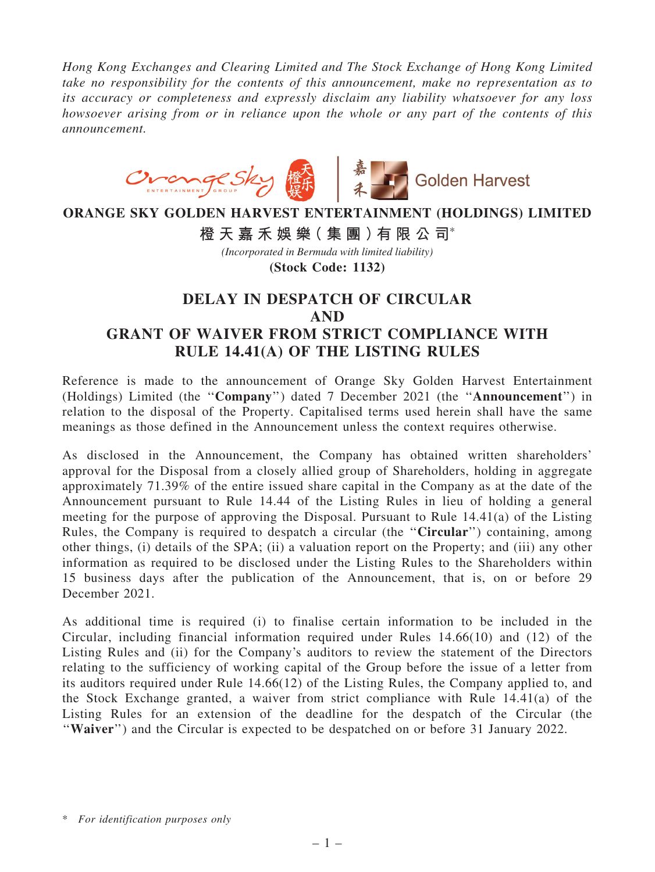*Hong Kong Exchanges and Clearing Limited and The Stock Exchange of Hong Kong Limited take no responsibility for the contents of this announcement, make no representation as to its accuracy or completeness and expressly disclaim any liability whatsoever for any loss howsoever arising from or in reliance upon the whole or any part of the contents of this announcement.*



## **ORANGE SKY GOLDEN HARVEST ENTERTAINMENT (HOLDINGS) LIMITED**

**橙 天 嘉 禾 娛 樂( 集 團 )有 限 公 司**\*

**(Stock Code: 1132)** *(Incorporated in Bermuda with limited liability)*

## DELAY IN DESPATCH OF CIRCULAR AND GRANT OF WAIVER FROM STRICT COMPLIANCE WITH RULE 14.41(A) OF THE LISTING RULES

Reference is made to the announcement of Orange Sky Golden Harvest Entertainment (Holdings) Limited (the ''Company'') dated 7 December 2021 (the ''Announcement'') in relation to the disposal of the Property. Capitalised terms used herein shall have the same meanings as those defined in the Announcement unless the context requires otherwise.

As disclosed in the Announcement, the Company has obtained written shareholders' approval for the Disposal from a closely allied group of Shareholders, holding in aggregate approximately 71.39% of the entire issued share capital in the Company as at the date of the Announcement pursuant to Rule 14.44 of the Listing Rules in lieu of holding a general meeting for the purpose of approving the Disposal. Pursuant to Rule 14.41(a) of the Listing Rules, the Company is required to despatch a circular (the "Circular") containing, among other things, (i) details of the SPA; (ii) a valuation report on the Property; and (iii) any other information as required to be disclosed under the Listing Rules to the Shareholders within 15 business days after the publication of the Announcement, that is, on or before 29 December 2021.

As additional time is required (i) to finalise certain information to be included in the Circular, including financial information required under Rules 14.66(10) and (12) of the Listing Rules and (ii) for the Company's auditors to review the statement of the Directors relating to the sufficiency of working capital of the Group before the issue of a letter from its auditors required under Rule 14.66(12) of the Listing Rules, the Company applied to, and the Stock Exchange granted, a waiver from strict compliance with Rule 14.41(a) of the Listing Rules for an extension of the deadline for the despatch of the Circular (the "Waiver") and the Circular is expected to be despatched on or before 31 January 2022.

<sup>\*</sup> *For identification purposes only*